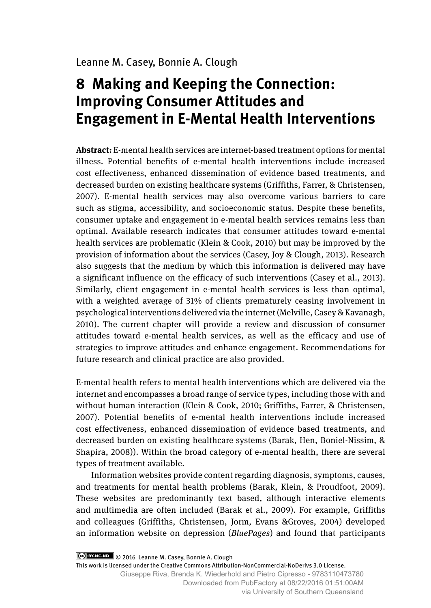# **8 Making and Keeping the Connection: Improving Consumer Attitudes and Engagement in E-Mental Health Interventions**

**Abstract:** E-mental health services are internet-based treatment options for mental illness. Potential benefits of e-mental health interventions include increased cost effectiveness, enhanced dissemination of evidence based treatments, and decreased burden on existing healthcare systems (Griffiths, Farrer, & Christensen, 2007). E-mental health services may also overcome various barriers to care such as stigma, accessibility, and socioeconomic status. Despite these benefits, consumer uptake and engagement in e-mental health services remains less than optimal. Available research indicates that consumer attitudes toward e-mental health services are problematic (Klein & Cook, 2010) but may be improved by the provision of information about the services (Casey, Joy & Clough, 2013). Research also suggests that the medium by which this information is delivered may have a significant influence on the efficacy of such interventions (Casey et al., 2013). Similarly, client engagement in e-mental health services is less than optimal, with a weighted average of 31% of clients prematurely ceasing involvement in psychological interventions delivered via the internet (Melville, Casey & Kavanagh, 2010). The current chapter will provide a review and discussion of consumer attitudes toward e-mental health services, as well as the efficacy and use of strategies to improve attitudes and enhance engagement. Recommendations for future research and clinical practice are also provided.

E-mental health refers to mental health interventions which are delivered via the internet and encompasses a broad range of service types, including those with and without human interaction (Klein & Cook, 2010; Griffiths, Farrer, & Christensen, 2007). Potential benefits of e-mental health interventions include increased cost effectiveness, enhanced dissemination of evidence based treatments, and decreased burden on existing healthcare systems (Barak, Hen, Boniel-Nissim, & Shapira, 2008)). Within the broad category of e-mental health, there are several types of treatment available.

Information websites provide content regarding diagnosis, symptoms, causes, and treatments for mental health problems (Barak, Klein, & Proudfoot, 2009). These websites are predominantly text based, although interactive elements and multimedia are often included (Barak et al., 2009). For example, Griffiths and colleagues (Griffiths, Christensen, Jorm, Evans &Groves, 2004) developed an information website on depression (*BluePages*) and found that participants

 © 2016 Leanne M. Casey, Bonnie A. Clough This work is licensed under the Creative Commons Attribution-NonCommercial-NoDerivs 3.0 License. Giuseppe Riva, Brenda K. Wiederhold and Pietro Cipresso - 9783110473780 Downloaded from PubFactory at 08/22/2016 01:51:00AM via University of Southern Queensland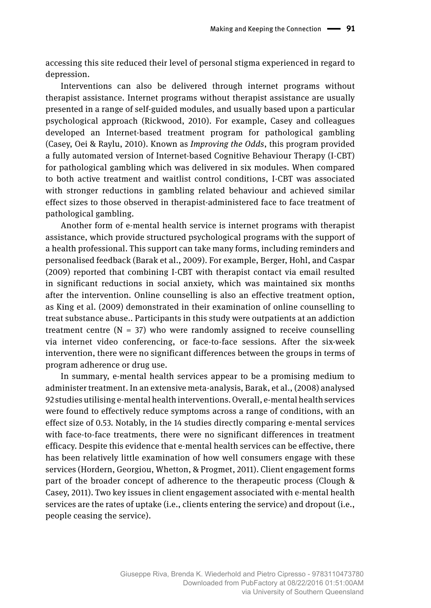accessing this site reduced their level of personal stigma experienced in regard to depression.

Interventions can also be delivered through internet programs without therapist assistance. Internet programs without therapist assistance are usually presented in a range of self-guided modules, and usually based upon a particular psychological approach (Rickwood, 2010). For example, Casey and colleagues developed an Internet-based treatment program for pathological gambling (Casey, Oei & Raylu, 2010). Known as *Improving the Odds*, this program provided a fully automated version of Internet-based Cognitive Behaviour Therapy (I-CBT) for pathological gambling which was delivered in six modules. When compared to both active treatment and waitlist control conditions, I-CBT was associated with stronger reductions in gambling related behaviour and achieved similar effect sizes to those observed in therapist-administered face to face treatment of pathological gambling.

Another form of e-mental health service is internet programs with therapist assistance, which provide structured psychological programs with the support of a health professional. This support can take many forms, including reminders and personalised feedback (Barak et al., 2009). For example, Berger, Hohl, and Caspar (2009) reported that combining I-CBT with therapist contact via email resulted in significant reductions in social anxiety, which was maintained six months after the intervention. Online counselling is also an effective treatment option, as King et al. (2009) demonstrated in their examination of online counselling to treat substance abuse.. Participants in this study were outpatients at an addiction treatment centre  $(N = 37)$  who were randomly assigned to receive counselling via internet video conferencing, or face-to-face sessions. After the six-week intervention, there were no significant differences between the groups in terms of program adherence or drug use.

In summary, e-mental health services appear to be a promising medium to administer treatment. In an extensive meta-analysis, Barak, et al., (2008) analysed 92 studies utilising e-mental health interventions. Overall, e-mental health services were found to effectively reduce symptoms across a range of conditions, with an effect size of 0.53. Notably, in the 14 studies directly comparing e-mental services with face-to-face treatments, there were no significant differences in treatment efficacy. Despite this evidence that e-mental health services can be effective, there has been relatively little examination of how well consumers engage with these services (Hordern, Georgiou, Whetton, & Progmet, 2011). Client engagement forms part of the broader concept of adherence to the therapeutic process (Clough & Casey, 2011). Two key issues in client engagement associated with e-mental health services are the rates of uptake (i.e., clients entering the service) and dropout (i.e., people ceasing the service).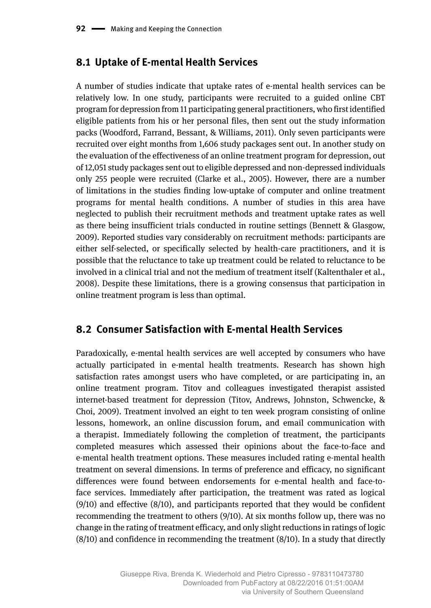# **8.1 Uptake of E-mental Health Services**

A number of studies indicate that uptake rates of e-mental health services can be relatively low. In one study, participants were recruited to a guided online CBT program for depression from 11 participating general practitioners, who first identified eligible patients from his or her personal files, then sent out the study information packs (Woodford, Farrand, Bessant, & Williams, 2011). Only seven participants were recruited over eight months from 1,606 study packages sent out. In another study on the evaluation of the effectiveness of an online treatment program for depression, out of 12,051 study packages sent out to eligible depressed and non-depressed individuals only 255 people were recruited (Clarke et al., 2005). However, there are a number of limitations in the studies finding low-uptake of computer and online treatment programs for mental health conditions. A number of studies in this area have neglected to publish their recruitment methods and treatment uptake rates as well as there being insufficient trials conducted in routine settings (Bennett & Glasgow, 2009). Reported studies vary considerably on recruitment methods: participants are either self-selected, or specifically selected by health-care practitioners, and it is possible that the reluctance to take up treatment could be related to reluctance to be involved in a clinical trial and not the medium of treatment itself (Kaltenthaler et al., 2008). Despite these limitations, there is a growing consensus that participation in online treatment program is less than optimal.

# **8.2 Consumer Satisfaction with E-mental Health Services**

Paradoxically, e-mental health services are well accepted by consumers who have actually participated in e-mental health treatments. Research has shown high satisfaction rates amongst users who have completed, or are participating in, an online treatment program. Titov and colleagues investigated therapist assisted internet-based treatment for depression (Titov, Andrews, Johnston, Schwencke, & Choi, 2009). Treatment involved an eight to ten week program consisting of online lessons, homework, an online discussion forum, and email communication with a therapist. Immediately following the completion of treatment, the participants completed measures which assessed their opinions about the face-to-face and e-mental health treatment options. These measures included rating e-mental health treatment on several dimensions. In terms of preference and efficacy, no significant differences were found between endorsements for e-mental health and face-toface services. Immediately after participation, the treatment was rated as logical (9/10) and effective (8/10), and participants reported that they would be confident recommending the treatment to others (9/10). At six months follow up, there was no change in the rating of treatment efficacy, and only slight reductions in ratings of logic (8/10) and confidence in recommending the treatment (8/10). In a study that directly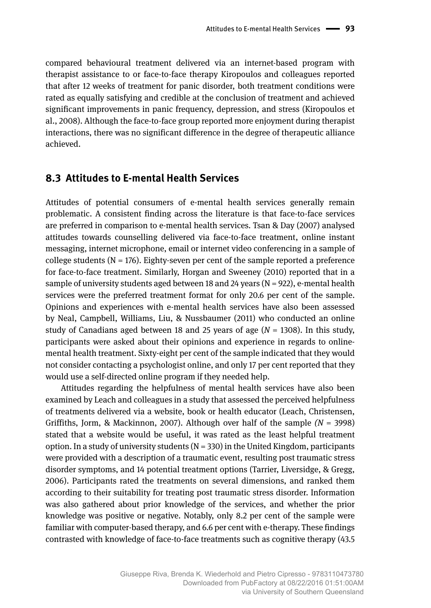compared behavioural treatment delivered via an internet-based program with therapist assistance to or face-to-face therapy Kiropoulos and colleagues reported that after 12 weeks of treatment for panic disorder, both treatment conditions were rated as equally satisfying and credible at the conclusion of treatment and achieved significant improvements in panic frequency, depression, and stress (Kiropoulos et al., 2008). Although the face-to-face group reported more enjoyment during therapist interactions, there was no significant difference in the degree of therapeutic alliance achieved.

#### **8.3 Attitudes to E-mental Health Services**

Attitudes of potential consumers of e-mental health services generally remain problematic. A consistent finding across the literature is that face-to-face services are preferred in comparison to e-mental health services. Tsan & Day (2007) analysed attitudes towards counselling delivered via face-to-face treatment, online instant messaging, internet microphone, email or internet video conferencing in a sample of college students ( $N = 176$ ). Eighty-seven per cent of the sample reported a preference for face-to-face treatment. Similarly, Horgan and Sweeney (2010) reported that in a sample of university students aged between 18 and 24 years ( $N = 922$ ), e-mental health services were the preferred treatment format for only 20.6 per cent of the sample. Opinions and experiences with e-mental health services have also been assessed by Neal, Campbell, Williams, Liu, & Nussbaumer (2011) who conducted an online study of Canadians aged between 18 and 25 years of age  $(N = 1308)$ . In this study, participants were asked about their opinions and experience in regards to onlinemental health treatment. Sixty-eight per cent of the sample indicated that they would not consider contacting a psychologist online, and only 17 per cent reported that they would use a self-directed online program if they needed help.

Attitudes regarding the helpfulness of mental health services have also been examined by Leach and colleagues in a study that assessed the perceived helpfulness of treatments delivered via a website, book or health educator (Leach, Christensen, Griffiths, Jorm, & Mackinnon, 2007). Although over half of the sample *(N* = 3998) stated that a website would be useful, it was rated as the least helpful treatment option. In a study of university students ( $N = 330$ ) in the United Kingdom, participants were provided with a description of a traumatic event, resulting post traumatic stress disorder symptoms, and 14 potential treatment options (Tarrier, Liversidge, & Gregg, 2006). Participants rated the treatments on several dimensions, and ranked them according to their suitability for treating post traumatic stress disorder. Information was also gathered about prior knowledge of the services, and whether the prior knowledge was positive or negative. Notably, only 8.2 per cent of the sample were familiar with computer-based therapy, and 6.6 per cent with e-therapy. These findings contrasted with knowledge of face-to-face treatments such as cognitive therapy (43.5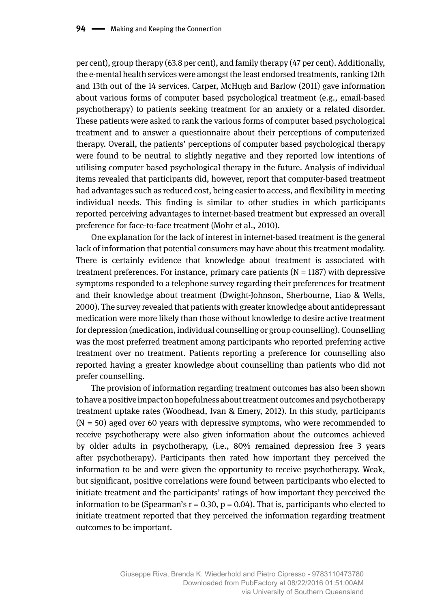per cent), group therapy (63.8 per cent), and family therapy (47 per cent). Additionally, the e-mental health services were amongst the least endorsed treatments, ranking 12th and 13th out of the 14 services. Carper, McHugh and Barlow (2011) gave information about various forms of computer based psychological treatment (e.g., email-based psychotherapy) to patients seeking treatment for an anxiety or a related disorder. These patients were asked to rank the various forms of computer based psychological treatment and to answer a questionnaire about their perceptions of computerized therapy. Overall, the patients' perceptions of computer based psychological therapy were found to be neutral to slightly negative and they reported low intentions of utilising computer based psychological therapy in the future. Analysis of individual items revealed that participants did, however, report that computer-based treatment had advantages such as reduced cost, being easier to access, and flexibility in meeting individual needs. This finding is similar to other studies in which participants reported perceiving advantages to internet-based treatment but expressed an overall preference for face-to-face treatment (Mohr et al., 2010).

One explanation for the lack of interest in internet-based treatment is the general lack of information that potential consumers may have about this treatment modality. There is certainly evidence that knowledge about treatment is associated with treatment preferences. For instance, primary care patients  $(N = 1187)$  with depressive symptoms responded to a telephone survey regarding their preferences for treatment and their knowledge about treatment (Dwight-Johnson, Sherbourne, Liao & Wells, 2000). The survey revealed that patients with greater knowledge about antidepressant medication were more likely than those without knowledge to desire active treatment for depression (medication, individual counselling or group counselling). Counselling was the most preferred treatment among participants who reported preferring active treatment over no treatment. Patients reporting a preference for counselling also reported having a greater knowledge about counselling than patients who did not prefer counselling.

The provision of information regarding treatment outcomes has also been shown to have a positive impact on hopefulness about treatment outcomes and psychotherapy treatment uptake rates (Woodhead, Ivan & Emery, 2012). In this study, participants  $(N = 50)$  aged over 60 years with depressive symptoms, who were recommended to receive psychotherapy were also given information about the outcomes achieved by older adults in psychotherapy, (i.e., 80% remained depression free 3 years after psychotherapy). Participants then rated how important they perceived the information to be and were given the opportunity to receive psychotherapy. Weak, but significant, positive correlations were found between participants who elected to initiate treatment and the participants' ratings of how important they perceived the information to be (Spearman's  $r = 0.30$ ,  $p = 0.04$ ). That is, participants who elected to initiate treatment reported that they perceived the information regarding treatment outcomes to be important.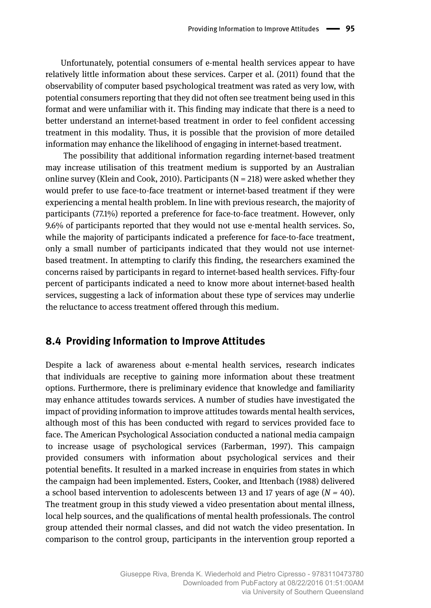Unfortunately, potential consumers of e-mental health services appear to have relatively little information about these services. Carper et al. (2011) found that the observability of computer based psychological treatment was rated as very low, with potential consumers reporting that they did not often see treatment being used in this format and were unfamiliar with it. This finding may indicate that there is a need to better understand an internet-based treatment in order to feel confident accessing treatment in this modality. Thus, it is possible that the provision of more detailed information may enhance the likelihood of engaging in internet-based treatment.

 The possibility that additional information regarding internet-based treatment may increase utilisation of this treatment medium is supported by an Australian online survey (Klein and Cook, 2010). Participants ( $N = 218$ ) were asked whether they would prefer to use face-to-face treatment or internet-based treatment if they were experiencing a mental health problem. In line with previous research, the majority of participants (77.1%) reported a preference for face-to-face treatment. However, only 9.6% of participants reported that they would not use e-mental health services. So, while the majority of participants indicated a preference for face-to-face treatment, only a small number of participants indicated that they would not use internetbased treatment. In attempting to clarify this finding, the researchers examined the concerns raised by participants in regard to internet-based health services. Fifty-four percent of participants indicated a need to know more about internet-based health services, suggesting a lack of information about these type of services may underlie the reluctance to access treatment offered through this medium.

#### **8.4 Providing Information to Improve Attitudes**

Despite a lack of awareness about e-mental health services, research indicates that individuals are receptive to gaining more information about these treatment options. Furthermore, there is preliminary evidence that knowledge and familiarity may enhance attitudes towards services. A number of studies have investigated the impact of providing information to improve attitudes towards mental health services, although most of this has been conducted with regard to services provided face to face. The American Psychological Association conducted a national media campaign to increase usage of psychological services (Farberman, 1997). This campaign provided consumers with information about psychological services and their potential benefits. It resulted in a marked increase in enquiries from states in which the campaign had been implemented. Esters, Cooker, and Ittenbach (1988) delivered a school based intervention to adolescents between 13 and 17 years of age (*N =* 40). The treatment group in this study viewed a video presentation about mental illness, local help sources, and the qualifications of mental health professionals. The control group attended their normal classes, and did not watch the video presentation. In comparison to the control group, participants in the intervention group reported a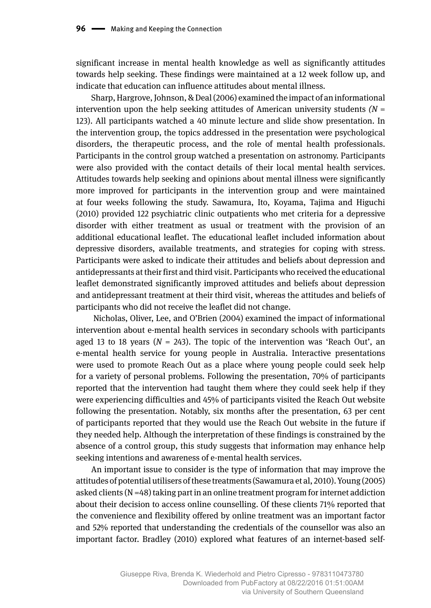significant increase in mental health knowledge as well as significantly attitudes towards help seeking. These findings were maintained at a 12 week follow up, and indicate that education can influence attitudes about mental illness.

Sharp, Hargrove, Johnson, & Deal (2006) examined the impact of an informational intervention upon the help seeking attitudes of American university students *(N* = 123). All participants watched a 40 minute lecture and slide show presentation. In the intervention group, the topics addressed in the presentation were psychological disorders, the therapeutic process, and the role of mental health professionals. Participants in the control group watched a presentation on astronomy. Participants were also provided with the contact details of their local mental health services. Attitudes towards help seeking and opinions about mental illness were significantly more improved for participants in the intervention group and were maintained at four weeks following the study. Sawamura, Ito, Koyama, Tajima and Higuchi (2010) provided 122 psychiatric clinic outpatients who met criteria for a depressive disorder with either treatment as usual or treatment with the provision of an additional educational leaflet. The educational leaflet included information about depressive disorders, available treatments, and strategies for coping with stress. Participants were asked to indicate their attitudes and beliefs about depression and antidepressants at their first and third visit. Participants who received the educational leaflet demonstrated significantly improved attitudes and beliefs about depression and antidepressant treatment at their third visit, whereas the attitudes and beliefs of participants who did not receive the leaflet did not change.

 Nicholas, Oliver, Lee, and O'Brien (2004) examined the impact of informational intervention about e-mental health services in secondary schools with participants aged 13 to 18 years  $(N = 243)$ . The topic of the intervention was 'Reach Out', an e-mental health service for young people in Australia. Interactive presentations were used to promote Reach Out as a place where young people could seek help for a variety of personal problems. Following the presentation, 70% of participants reported that the intervention had taught them where they could seek help if they were experiencing difficulties and 45% of participants visited the Reach Out website following the presentation. Notably, six months after the presentation, 63 per cent of participants reported that they would use the Reach Out website in the future if they needed help. Although the interpretation of these findings is constrained by the absence of a control group, this study suggests that information may enhance help seeking intentions and awareness of e-mental health services.

An important issue to consider is the type of information that may improve the attitudes of potential utilisers of these treatments (Sawamura et al, 2010). Young (2005) asked clients (N =48) taking part in an online treatment program for internet addiction about their decision to access online counselling. Of these clients 71% reported that the convenience and flexibility offered by online treatment was an important factor and 52% reported that understanding the credentials of the counsellor was also an important factor. Bradley (2010) explored what features of an internet-based self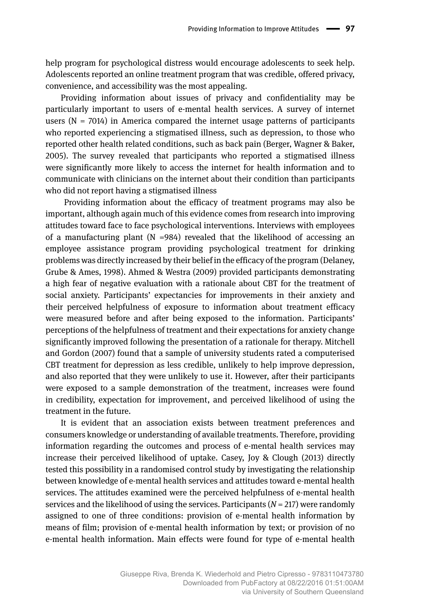help program for psychological distress would encourage adolescents to seek help. Adolescents reported an online treatment program that was credible, offered privacy, convenience, and accessibility was the most appealing.

Providing information about issues of privacy and confidentiality may be particularly important to users of e-mental health services. A survey of internet users ( $N = 7014$ ) in America compared the internet usage patterns of participants who reported experiencing a stigmatised illness, such as depression, to those who reported other health related conditions, such as back pain (Berger, Wagner & Baker, 2005). The survey revealed that participants who reported a stigmatised illness were significantly more likely to access the internet for health information and to communicate with clinicians on the internet about their condition than participants who did not report having a stigmatised illness

 Providing information about the efficacy of treatment programs may also be important, although again much of this evidence comes from research into improving attitudes toward face to face psychological interventions. Interviews with employees of a manufacturing plant  $(N = 984)$  revealed that the likelihood of accessing an employee assistance program providing psychological treatment for drinking problems was directly increased by their belief in the efficacy of the program (Delaney, Grube & Ames, 1998). Ahmed & Westra (2009) provided participants demonstrating a high fear of negative evaluation with a rationale about CBT for the treatment of social anxiety. Participants' expectancies for improvements in their anxiety and their perceived helpfulness of exposure to information about treatment efficacy were measured before and after being exposed to the information. Participants' perceptions of the helpfulness of treatment and their expectations for anxiety change significantly improved following the presentation of a rationale for therapy. Mitchell and Gordon (2007) found that a sample of university students rated a computerised CBT treatment for depression as less credible, unlikely to help improve depression, and also reported that they were unlikely to use it. However, after their participants were exposed to a sample demonstration of the treatment, increases were found in credibility, expectation for improvement, and perceived likelihood of using the treatment in the future.

It is evident that an association exists between treatment preferences and consumers knowledge or understanding of available treatments. Therefore, providing information regarding the outcomes and process of e-mental health services may increase their perceived likelihood of uptake. Casey, Joy & Clough (2013) directly tested this possibility in a randomised control study by investigating the relationship between knowledge of e-mental health services and attitudes toward e-mental health services. The attitudes examined were the perceived helpfulness of e-mental health services and the likelihood of using the services. Participants (*N* = 217) were randomly assigned to one of three conditions: provision of e-mental health information by means of film; provision of e-mental health information by text; or provision of no e-mental health information. Main effects were found for type of e-mental health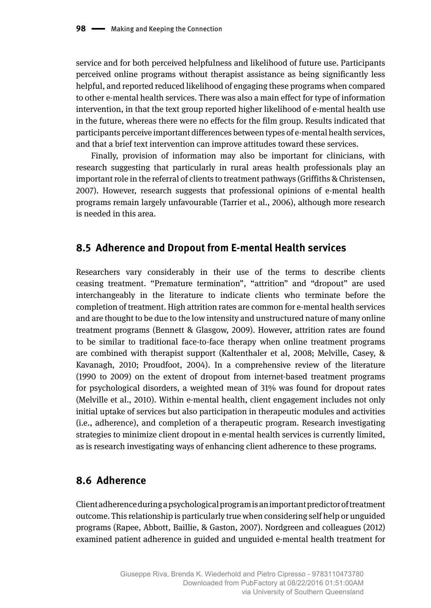service and for both perceived helpfulness and likelihood of future use. Participants perceived online programs without therapist assistance as being significantly less helpful, and reported reduced likelihood of engaging these programs when compared to other e-mental health services. There was also a main effect for type of information intervention, in that the text group reported higher likelihood of e-mental health use in the future, whereas there were no effects for the film group. Results indicated that participants perceive important differences between types of e-mental health services, and that a brief text intervention can improve attitudes toward these services.

Finally, provision of information may also be important for clinicians, with research suggesting that particularly in rural areas health professionals play an important role in the referral of clients to treatment pathways (Griffiths & Christensen, 2007). However, research suggests that professional opinions of e-mental health programs remain largely unfavourable (Tarrier et al., 2006), although more research is needed in this area.

#### **8.5 Adherence and Dropout from E-mental Health services**

Researchers vary considerably in their use of the terms to describe clients ceasing treatment. "Premature termination", "attrition" and "dropout" are used interchangeably in the literature to indicate clients who terminate before the completion of treatment. High attrition rates are common for e-mental health services and are thought to be due to the low intensity and unstructured nature of many online treatment programs (Bennett & Glasgow, 2009). However, attrition rates are found to be similar to traditional face-to-face therapy when online treatment programs are combined with therapist support (Kaltenthaler et al, 2008; Melville, Casey, & Kavanagh, 2010; Proudfoot, 2004). In a comprehensive review of the literature (1990 to 2009) on the extent of dropout from internet-based treatment programs for psychological disorders, a weighted mean of 31% was found for dropout rates (Melville et al., 2010). Within e-mental health, client engagement includes not only initial uptake of services but also participation in therapeutic modules and activities (i.e., adherence), and completion of a therapeutic program. Research investigating strategies to minimize client dropout in e-mental health services is currently limited, as is research investigating ways of enhancing client adherence to these programs.

## **8.6 Adherence**

Client adherence during a psychological program is an important predictor of treatment outcome. This relationship is particularly true when considering self help or unguided programs (Rapee, Abbott, Baillie, & Gaston, 2007). Nordgreen and colleagues (2012) examined patient adherence in guided and unguided e-mental health treatment for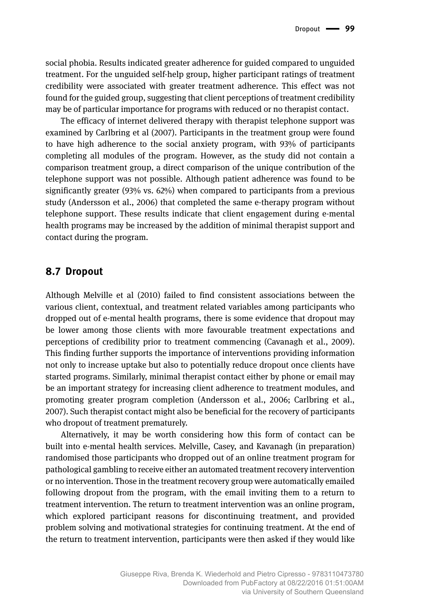social phobia. Results indicated greater adherence for guided compared to unguided treatment. For the unguided self-help group, higher participant ratings of treatment credibility were associated with greater treatment adherence. This effect was not found for the guided group, suggesting that client perceptions of treatment credibility may be of particular importance for programs with reduced or no therapist contact.

The efficacy of internet delivered therapy with therapist telephone support was examined by Carlbring et al (2007). Participants in the treatment group were found to have high adherence to the social anxiety program, with 93% of participants completing all modules of the program. However, as the study did not contain a comparison treatment group, a direct comparison of the unique contribution of the telephone support was not possible. Although patient adherence was found to be significantly greater (93% vs. 62%) when compared to participants from a previous study (Andersson et al., 2006) that completed the same e-therapy program without telephone support. These results indicate that client engagement during e-mental health programs may be increased by the addition of minimal therapist support and contact during the program.

#### **8.7 Dropout**

Although Melville et al (2010) failed to find consistent associations between the various client, contextual, and treatment related variables among participants who dropped out of e-mental health programs, there is some evidence that dropout may be lower among those clients with more favourable treatment expectations and perceptions of credibility prior to treatment commencing (Cavanagh et al., 2009). This finding further supports the importance of interventions providing information not only to increase uptake but also to potentially reduce dropout once clients have started programs. Similarly, minimal therapist contact either by phone or email may be an important strategy for increasing client adherence to treatment modules, and promoting greater program completion (Andersson et al., 2006; Carlbring et al., 2007). Such therapist contact might also be beneficial for the recovery of participants who dropout of treatment prematurely.

Alternatively, it may be worth considering how this form of contact can be built into e-mental health services. Melville, Casey, and Kavanagh (in preparation) randomised those participants who dropped out of an online treatment program for pathological gambling to receive either an automated treatment recovery intervention or no intervention. Those in the treatment recovery group were automatically emailed following dropout from the program, with the email inviting them to a return to treatment intervention. The return to treatment intervention was an online program, which explored participant reasons for discontinuing treatment, and provided problem solving and motivational strategies for continuing treatment. At the end of the return to treatment intervention, participants were then asked if they would like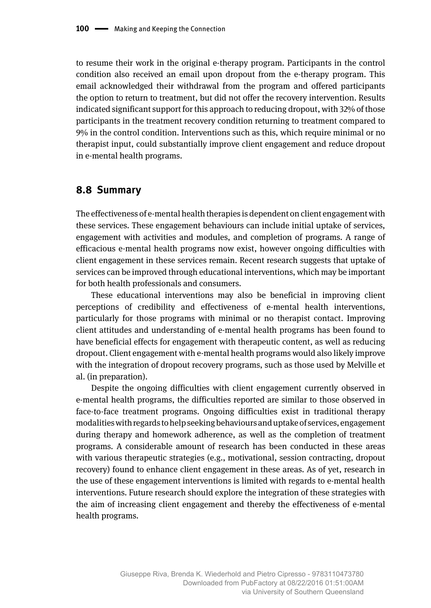to resume their work in the original e-therapy program. Participants in the control condition also received an email upon dropout from the e-therapy program. This email acknowledged their withdrawal from the program and offered participants the option to return to treatment, but did not offer the recovery intervention. Results indicated significant support for this approach to reducing dropout, with 32% of those participants in the treatment recovery condition returning to treatment compared to 9% in the control condition. Interventions such as this, which require minimal or no therapist input, could substantially improve client engagement and reduce dropout in e-mental health programs.

## **8.8 Summary**

The effectiveness of e-mental health therapies is dependent on client engagement with these services. These engagement behaviours can include initial uptake of services, engagement with activities and modules, and completion of programs. A range of efficacious e-mental health programs now exist, however ongoing difficulties with client engagement in these services remain. Recent research suggests that uptake of services can be improved through educational interventions, which may be important for both health professionals and consumers.

These educational interventions may also be beneficial in improving client perceptions of credibility and effectiveness of e-mental health interventions, particularly for those programs with minimal or no therapist contact. Improving client attitudes and understanding of e-mental health programs has been found to have beneficial effects for engagement with therapeutic content, as well as reducing dropout. Client engagement with e-mental health programs would also likely improve with the integration of dropout recovery programs, such as those used by Melville et al. (in preparation).

Despite the ongoing difficulties with client engagement currently observed in e-mental health programs, the difficulties reported are similar to those observed in face-to-face treatment programs. Ongoing difficulties exist in traditional therapy modalities with regards to help seeking behaviours and uptake of services, engagement during therapy and homework adherence, as well as the completion of treatment programs. A considerable amount of research has been conducted in these areas with various therapeutic strategies (e.g., motivational, session contracting, dropout recovery) found to enhance client engagement in these areas. As of yet, research in the use of these engagement interventions is limited with regards to e-mental health interventions. Future research should explore the integration of these strategies with the aim of increasing client engagement and thereby the effectiveness of e-mental health programs.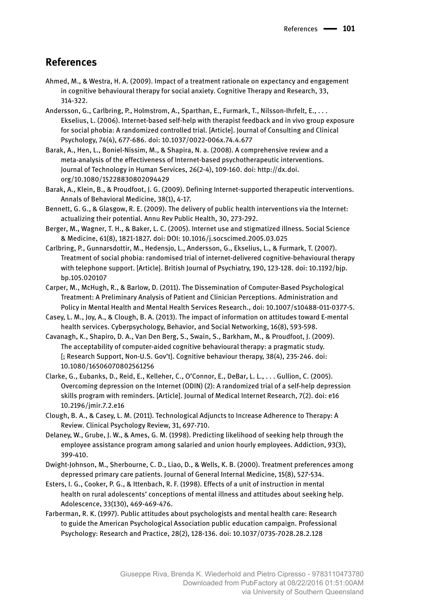# **References**

- Ahmed, M., & Westra, H. A. (2009). Impact of a treatment rationale on expectancy and engagement in cognitive behavioural therapy for social anxiety. Cognitive Therapy and Research, 33, 314-322.
- Andersson, G., Carlbring, P., Holmstrom, A., Sparthan, E., Furmark, T., Nilsson-Ihrfelt, E., . . . Ekselius, L. (2006). Internet-based self-help with therapist feedback and in vivo group exposure for social phobia: A randomized controlled trial. [Article]. Journal of Consulting and Clinical Psychology, 74(4), 677-686. doi: 10.1037/0022-006x.74.4.677
- Barak, A., Hen, L., Boniel-Nissim, M., & Shapira, N. a. (2008). A comprehensive review and a meta-analysis of the effectiveness of Internet-based psychotherapeutic interventions. Journal of Technology in Human Services, 26(2-4), 109-160. doi: [http://dx.doi.](http://dx.doi.org/10.1080/15228830802094429) [org/10.1080/15228830802094429](http://dx.doi.org/10.1080/15228830802094429)
- Barak, A., Klein, B., & Proudfoot, J. G. (2009). Defining Internet-supported therapeutic interventions. Annals of Behavioral Medicine, 38(1), 4-17.
- Bennett, G. G., & Glasgow, R. E. (2009). The delivery of public health interventions via the Internet: actualizing their potential. Annu Rev Public Health, 30, 273-292.
- Berger, M., Wagner, T. H., & Baker, L. C. (2005). Internet use and stigmatized illness. Social Science & Medicine, 61(8), 1821-1827. doi: DOI: 10.1016/j.socscimed.2005.03.025
- Carlbring, P., Gunnarsdottir, M., Hedensjo, L., Andersson, G., Ekselius, L., & Furmark, T. (2007). Treatment of social phobia: randomised trial of internet-delivered cognitive-behavioural therapy with telephone support. [Article]. British Journal of Psychiatry, 190, 123-128. doi: 10.1192/bjp. bp.105.020107
- Carper, M., McHugh, R., & Barlow, D. (2011). The Dissemination of Computer-Based Psychological Treatment: A Preliminary Analysis of Patient and Clinician Perceptions. Administration and Policy in Mental Health and Mental Health Services Research., doi: 10.1007/s10488-011-0377-5.
- Casey, L. M., Joy, A., & Clough, B. A. (2013). The impact of information on attitudes toward E-mental health services. Cyberpsychology, Behavior, and Social Networking, 16(8), 593-598.
- Cavanagh, K., Shapiro, D. A., Van Den Berg, S., Swain, S., Barkham, M., & Proudfoot, J. (2009). The acceptability of computer-aided cognitive behavioural therapy: a pragmatic study. [; Research Support, Non-U.S. Gov't]. Cognitive behaviour therapy, 38(4), 235-246. doi: 10.1080/16506070802561256
- Clarke, G., Eubanks, D., Reid, E., Kelleher, C., O'Connor, E., DeBar, L. L., . . . Gullion, C. (2005). Overcoming depression on the Internet (ODIN) (2): A randomized trial of a self-help depression skills program with reminders. [Article]. Journal of Medical Internet Research, 7(2). doi: e16 10.2196/jmir.7.2.e16
- Clough, B. A., & Casey, L. M. (2011). Technological Adjuncts to Increase Adherence to Therapy: A Review. Clinical Psychology Review, 31, 697-710.
- Delaney, W., Grube, J. W., & Ames, G. M. (1998). Predicting likelihood of seeking help through the employee assistance program among salaried and union hourly employees. Addiction, 93(3), 399-410.
- Dwight-Johnson, M., Sherbourne, C. D., Liao, D., & Wells, K. B. (2000). Treatment preferences among depressed primary care patients. Journal of General Internal Medicine, 15(8), 527-534.
- Esters, I. G., Cooker, P. G., & Ittenbach, R. F. (1998). Effects of a unit of instruction in mental health on rural adolescents' conceptions of mental illness and attitudes about seeking help. Adolescence, 33(130), 469-469-476.
- Farberman, R. K. (1997). Public attitudes about psychologists and mental health care: Research to guide the American Psychological Association public education campaign. Professional Psychology: Research and Practice, 28(2), 128-136. doi: 10.1037/0735-7028.28.2.128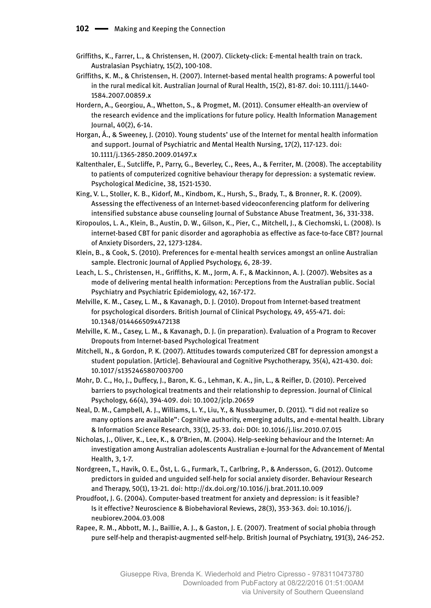- Griffiths, K., Farrer, L., & Christensen, H. (2007). Clickety-click: E-mental health train on track. Australasian Psychiatry, 15(2), 100-108.
- Griffiths, K. M., & Christensen, H. (2007). Internet-based mental health programs: A powerful tool in the rural medical kit. Australian Journal of Rural Health, 15(2), 81-87. doi: 10.1111/j.1440- 1584.2007.00859.x
- Hordern, A., Georgiou, A., Whetton, S., & Progmet, M. (2011). Consumer eHealth-an overview of the research evidence and the implications for future policy. Health Information Management Journal, 40(2), 6-14.
- Horgan, Á., & Sweeney, J. (2010). Young students' use of the Internet for mental health information and support. Journal of Psychiatric and Mental Health Nursing, 17(2), 117-123. doi: 10.1111/j.1365-2850.2009.01497.x
- Kaltenthaler, E., Sutcliffe, P., Parry, G., Beverley, C., Rees, A., & Ferriter, M. (2008). The acceptability to patients of computerized cognitive behaviour therapy for depression: a systematic review. Psychological Medicine, 38, 1521-1530.
- King, V. L., Stoller, K. B., Kidorf, M., Kindbom, K., Hursh, S., Brady, T., & Bronner, R. K. (2009). Assessing the effectiveness of an Internet-based videoconferencing platform for delivering intensified substance abuse counseling Journal of Substance Abuse Treatment, 36, 331-338.
- Kiropoulos, L. A., Klein, B., Austin, D. W., Gilson, K., Pier, C., Mitchell, J., & Ciechomski, L. (2008). Is internet-based CBT for panic disorder and agoraphobia as effective as face-to-face CBT? Journal of Anxiety Disorders, 22, 1273-1284.
- Klein, B., & Cook, S. (2010). Preferences for e-mental health services amongst an online Australian sample. Electronic Journal of Applied Psychology, 6, 28-39.
- Leach, L. S., Christensen, H., Griffiths, K. M., Jorm, A. F., & Mackinnon, A. J. (2007). Websites as a mode of delivering mental health information: Perceptions from the Australian public. Social Psychiatry and Psychiatric Epidemiology, 42, 167-172.
- Melville, K. M., Casey, L. M., & Kavanagh, D. J. (2010). Dropout from Internet-based treatment for psychological disorders. British Journal of Clinical Psychology, 49, 455-471. doi: 10.1348/014466509x472138
- Melville, K. M., Casey, L. M., & Kavanagh, D. J. (in preparation). Evaluation of a Program to Recover Dropouts from Internet-based Psychological Treatment
- Mitchell, N., & Gordon, P. K. (2007). Attitudes towards computerized CBT for depression amongst a student population. [Article]. Behavioural and Cognitive Psychotherapy, 35(4), 421-430. doi: 10.1017/s1352465807003700
- Mohr, D. C., Ho, J., Duffecy, J., Baron, K. G., Lehman, K. A., Jin, L., & Reifler, D. (2010). Perceived barriers to psychological treatments and their relationship to depression. Journal of Clinical Psychology, 66(4), 394-409. doi: 10.1002/jclp.20659
- Neal, D. M., Campbell, A. J., Williams, L. Y., Liu, Y., & Nussbaumer, D. (2011). "I did not realize so many options are available": Cognitive authority, emerging adults, and e-mental health. Library & Information Science Research, 33(1), 25-33. doi: DOI: 10.1016/j.lisr.2010.07.015
- Nicholas, J., Oliver, K., Lee, K., & O'Brien, M. (2004). Help-seeking behaviour and the Internet: An investigation among Australian adolescents Australian e-Journal for the Advancement of Mental Health, 3, 1-7.
- Nordgreen, T., Havik, O. E., Öst, L. G., Furmark, T., Carlbring, P., & Andersson, G. (2012). Outcome predictors in guided and unguided self-help for social anxiety disorder. Behaviour Research and Therapy, 50(1), 13-21. doi:<http://dx.doi.org/10.1016/j.brat.2011.10.009>
- Proudfoot, J. G. (2004). Computer-based treatment for anxiety and depression: is it feasible? Is it effective? Neuroscience & Biobehavioral Reviews, 28(3), 353-363. doi: 10.1016/j. neubiorev.2004.03.008
- Rapee, R. M., Abbott, M. J., Baillie, A. J., & Gaston, J. E. (2007). Treatment of social phobia through pure self-help and therapist-augmented self-help. British Journal of Psychiatry, 191(3), 246-252.